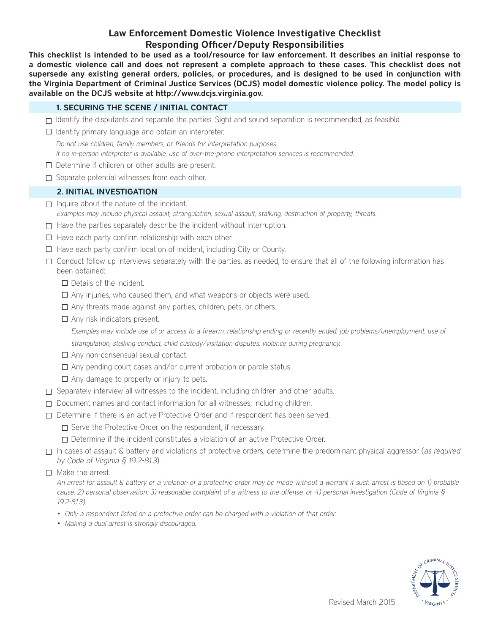# Law Enforcement Domestic Violence Investigative Checklist Responding Officer/Deputy Responsibilities

This checklist is intended to be used as a tool/resource for law enforcement. It describes an initial response to a domestic violence call and does not represent a complete approach to these cases. This checklist does not supersede any existing general orders, policies, or procedures, and is designed to be used in conjunction with the Virginia Department of Criminal Justice Services (DCJS) model domestic violence policy. The model policy is available on the DCJS website at http://www.dcjs.virginia.gov.

### 1. SECURING THE SCENE / INITIAL CONTACT

- $\Box$  Identify the disputants and separate the parties. Sight and sound separation is recommended, as feasible.
- $\Box$  Identify primary language and obtain an interpreter.

Do not use children, family members, or friends for interpretation purposes.

If no in-person interpreter is available, use of over-the-phone interpretation services is recommended.

- $\Box$  Determine if children or other adults are present.
- $\Box$  Separate potential witnesses from each other.

## 2. INITIAL INVESTIGATION

- $\Box$  Inquire about the nature of the incident. Examples may include physical assault, strangulation, sexual assault, stalking, destruction of property, threats.
- $\Box$  Have the parties separately describe the incident without interruption.
- $\Box$  Have each party confirm relationship with each other.
- $\Box$  Have each party confirm location of incident, including City or County.
- $\Box$  Conduct follow-up interviews separately with the parties, as needed, to ensure that all of the following information has been obtained:
	- $\Box$  Details of the incident.
	- $\Box$  Any injuries, who caused them, and what weapons or objects were used.
	- $\Box$  Any threats made against any parties, children, pets, or others.
	- $\Box$  Any risk indicators present.

Examples may include use of or access to a firearm, relationship ending or recently ended, job problems/unemployment, use of strangulation, stalking conduct, child custody/visitation disputes, violence during pregnancy.

- $\Box$  Any non-consensual sexual contact.
- $\Box$  Any pending court cases and/or current probation or parole status.
- $\Box$  Any damage to property or injury to pets.
- $\square$  Separately interview all witnesses to the incident, including children and other adults.
- $\Box$  Document names and contact information for all witnesses, including children.
- Determine if there is an active Protective Order and if respondent has been served.
	- $\Box$  Serve the Protective Order on the respondent, if necessary.
	- Determine if the incident constitutes a violation of an active Protective Order.
- $\Box$  In cases of assault & battery and violations of protective orders, determine the predominant physical aggressor (as required by Code of Virginia § 19.2-81.3).
- $\Box$  Make the arrest.
	- An arrest for assault & battery or a violation of a protective order may be made without a warrant if such arrest is based on 1) probable cause, 2) personal observation, 3) reasonable complaint of a witness to the offense, or 4) personal investigation (Code of Virginia  $\frac{1}{2}$ 19.2-81.3).
	- • Only a respondent listed on a protective order can be charged with a violation of that order.
	- Making a dual arrest is strongly discouraged.